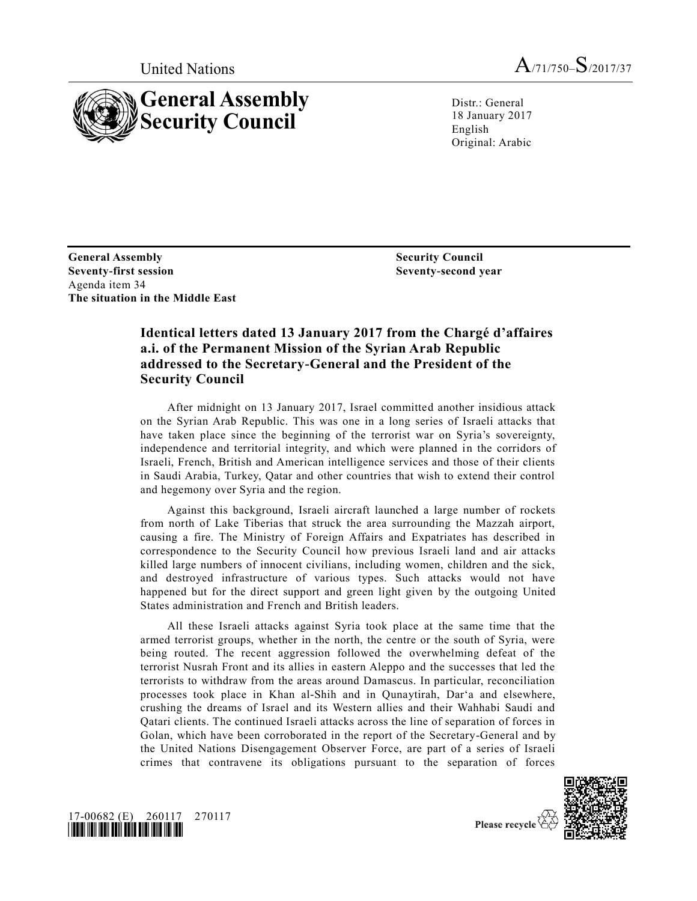



Distr.: General 18 January 2017 English Original: Arabic

**General Assembly Seventy-first session** Agenda item 34 **The situation in the Middle East**

**Security Council Seventy-second year**

## **Identical letters dated 13 January 2017 from the Chargé d'affaires a.i. of the Permanent Mission of the Syrian Arab Republic addressed to the Secretary-General and the President of the Security Council**

After midnight on 13 January 2017, Israel committed another insidious attack on the Syrian Arab Republic. This was one in a long series of Israeli attacks that have taken place since the beginning of the terrorist war on Syria's sovereignty, independence and territorial integrity, and which were planned in the corridors of Israeli, French, British and American intelligence services and those of their clients in Saudi Arabia, Turkey, Qatar and other countries that wish to extend their control and hegemony over Syria and the region.

Against this background, Israeli aircraft launched a large number of rockets from north of Lake Tiberias that struck the area surrounding the Mazzah airport, causing a fire. The Ministry of Foreign Affairs and Expatriates has described in correspondence to the Security Council how previous Israeli land and air attacks killed large numbers of innocent civilians, including women, children and the sick, and destroyed infrastructure of various types. Such attacks would not have happened but for the direct support and green light given by the outgoing United States administration and French and British leaders.

All these Israeli attacks against Syria took place at the same time that the armed terrorist groups, whether in the north, the centre or the south of Syria, were being routed. The recent aggression followed the overwhelming defeat of the terrorist Nusrah Front and its allies in eastern Aleppo and the successes that led the terrorists to withdraw from the areas around Damascus. In particular, reconciliation processes took place in Khan al-Shih and in Qunaytirah, Dar'a and elsewhere, crushing the dreams of Israel and its Western allies and their Wahhabi Saudi and Qatari clients. The continued Israeli attacks across the line of separation of forces in Golan, which have been corroborated in the report of the Secretary-General and by the United Nations Disengagement Observer Force, are part of a series of Israeli crimes that contravene its obligations pursuant to the separation of forces





Please recycle  $\Diamond$